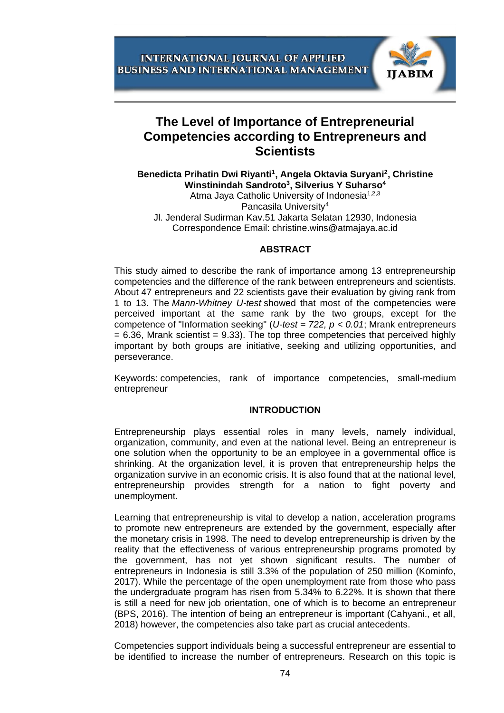

# **The Level of Importance of Entrepreneurial Competencies according to Entrepreneurs and Scientists**

**Benedicta Prihatin Dwi Riyanti<sup>1</sup> , Angela Oktavia Suryani<sup>2</sup> , Christine Winstinindah Sandroto<sup>3</sup> , Silverius Y Suharso<sup>4</sup>** Atma Jaya Catholic University of Indonesia<sup>1,2,3</sup>

Pancasila University<sup>4</sup>

Jl. Jenderal Sudirman Kav.51 Jakarta Selatan 12930, Indonesia Correspondence Email: christine.wins@atmajaya.ac.id

## **ABSTRACT**

This study aimed to describe the rank of importance among 13 entrepreneurship competencies and the difference of the rank between entrepreneurs and scientists. About 47 entrepreneurs and 22 scientists gave their evaluation by giving rank from 1 to 13. The *Mann-Whitney U-test* showed that most of the competencies were perceived important at the same rank by the two groups, except for the competence of "Information seeking" (*U-test = 722, p < 0.01*; Mrank entrepreneurs  $= 6.36$ , Mrank scientist  $= 9.33$ ). The top three competencies that perceived highly important by both groups are initiative, seeking and utilizing opportunities, and perseverance.

Keywords: competencies, rank of importance competencies, small-medium entrepreneur

## **INTRODUCTION**

Entrepreneurship plays essential roles in many levels, namely individual, organization, community, and even at the national level. Being an entrepreneur is one solution when the opportunity to be an employee in a governmental office is shrinking. At the organization level, it is proven that entrepreneurship helps the organization survive in an economic crisis. It is also found that at the national level, entrepreneurship provides strength for a nation to fight poverty and unemployment.

Learning that entrepreneurship is vital to develop a nation, acceleration programs to promote new entrepreneurs are extended by the government, especially after the monetary crisis in 1998. The need to develop entrepreneurship is driven by the reality that the effectiveness of various entrepreneurship programs promoted by the government, has not yet shown significant results. The number of entrepreneurs in Indonesia is still 3.3% of the population of 250 million (Kominfo, 2017). While the percentage of the open unemployment rate from those who pass the undergraduate program has risen from 5.34% to 6.22%. It is shown that there is still a need for new job orientation, one of which is to become an entrepreneur (BPS, 2016). The intention of being an entrepreneur is important (Cahyani., et all, 2018) however, the competencies also take part as crucial antecedents.

Competencies support individuals being a successful entrepreneur are essential to be identified to increase the number of entrepreneurs. Research on this topic is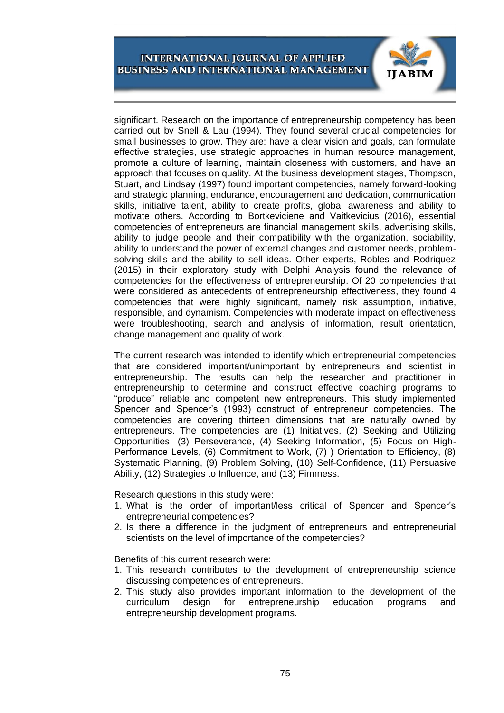

significant. Research on the importance of entrepreneurship competency has been carried out by Snell & Lau (1994). They found several crucial competencies for small businesses to grow. They are: have a clear vision and goals, can formulate effective strategies, use strategic approaches in human resource management, promote a culture of learning, maintain closeness with customers, and have an approach that focuses on quality. At the business development stages, Thompson, Stuart, and Lindsay (1997) found important competencies, namely forward-looking and strategic planning, endurance, encouragement and dedication, communication skills, initiative talent, ability to create profits, global awareness and ability to motivate others. According to Bortkeviciene and Vaitkevicius (2016), essential competencies of entrepreneurs are financial management skills, advertising skills, ability to judge people and their compatibility with the organization, sociability, ability to understand the power of external changes and customer needs, problemsolving skills and the ability to sell ideas. Other experts, Robles and Rodriquez (2015) in their exploratory study with Delphi Analysis found the relevance of competencies for the effectiveness of entrepreneurship. Of 20 competencies that were considered as antecedents of entrepreneurship effectiveness, they found 4 competencies that were highly significant, namely risk assumption, initiative, responsible, and dynamism. Competencies with moderate impact on effectiveness were troubleshooting, search and analysis of information, result orientation, change management and quality of work.

The current research was intended to identify which entrepreneurial competencies that are considered important/unimportant by entrepreneurs and scientist in entrepreneurship. The results can help the researcher and practitioner in entrepreneurship to determine and construct effective coaching programs to "produce" reliable and competent new entrepreneurs. This study implemented Spencer and Spencer's (1993) construct of entrepreneur competencies. The competencies are covering thirteen dimensions that are naturally owned by entrepreneurs. The competencies are (1) Initiatives, (2) Seeking and Utilizing Opportunities, (3) Perseverance, (4) Seeking Information, (5) Focus on High-Performance Levels, (6) Commitment to Work, (7) ) Orientation to Efficiency, (8) Systematic Planning, (9) Problem Solving, (10) Self-Confidence, (11) Persuasive Ability, (12) Strategies to Influence, and (13) Firmness.

Research questions in this study were:

- 1. What is the order of important/less critical of Spencer and Spencer's entrepreneurial competencies?
- 2. Is there a difference in the judgment of entrepreneurs and entrepreneurial scientists on the level of importance of the competencies?

Benefits of this current research were:

- 1. This research contributes to the development of entrepreneurship science discussing competencies of entrepreneurs.
- 2. This study also provides important information to the development of the curriculum design for entrepreneurship education programs and entrepreneurship development programs.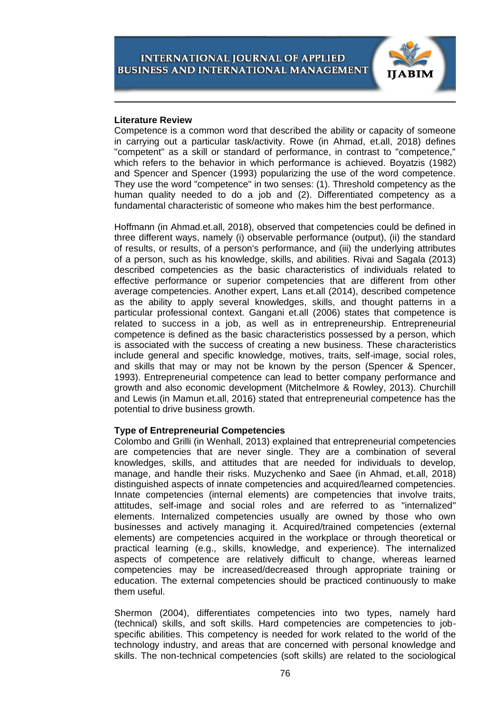

#### **Literature Review**

Competence is a common word that described the ability or capacity of someone in carrying out a particular task/activity. Rowe (in Ahmad, et.all, 2018) defines "competent" as a skill or standard of performance, in contrast to "competence," which refers to the behavior in which performance is achieved. Boyatzis (1982) and Spencer and Spencer (1993) popularizing the use of the word competence. They use the word "competence" in two senses: (1). Threshold competency as the human quality needed to do a job and (2). Differentiated competency as a fundamental characteristic of someone who makes him the best performance.

Hoffmann (in Ahmad.et.all, 2018), observed that competencies could be defined in three different ways, namely (i) observable performance (output), (ii) the standard of results, or results, of a person's performance, and (iii) the underlying attributes of a person, such as his knowledge, skills, and abilities. Rivai and Sagala (2013) described competencies as the basic characteristics of individuals related to effective performance or superior competencies that are different from other average competencies. Another expert, Lans et.all (2014), described competence as the ability to apply several knowledges, skills, and thought patterns in a particular professional context. Gangani et.all (2006) states that competence is related to success in a job, as well as in entrepreneurship. Entrepreneurial competence is defined as the basic characteristics possessed by a person, which is associated with the success of creating a new business. These characteristics include general and specific knowledge, motives, traits, self-image, social roles, and skills that may or may not be known by the person (Spencer & Spencer, 1993). Entrepreneurial competence can lead to better company performance and growth and also economic development (Mitchelmore & Rowley, 2013). Churchill and Lewis (in Mamun et.all, 2016) stated that entrepreneurial competence has the potential to drive business growth.

## **Type of Entrepreneurial Competencies**

Colombo and Grilli (in Wenhall, 2013) explained that entrepreneurial competencies are competencies that are never single. They are a combination of several knowledges, skills, and attitudes that are needed for individuals to develop, manage, and handle their risks. Muzychenko and Saee (in Ahmad, et.all, 2018) distinguished aspects of innate competencies and acquired/learned competencies. Innate competencies (internal elements) are competencies that involve traits, attitudes, self-image and social roles and are referred to as "internalized" elements. Internalized competencies usually are owned by those who own businesses and actively managing it. Acquired/trained competencies (external elements) are competencies acquired in the workplace or through theoretical or practical learning (e.g., skills, knowledge, and experience). The internalized aspects of competence are relatively difficult to change, whereas learned competencies may be increased/decreased through appropriate training or education. The external competencies should be practiced continuously to make them useful.

Shermon (2004), differentiates competencies into two types, namely hard (technical) skills, and soft skills. Hard competencies are competencies to jobspecific abilities. This competency is needed for work related to the world of the technology industry, and areas that are concerned with personal knowledge and skills. The non-technical competencies (soft skills) are related to the sociological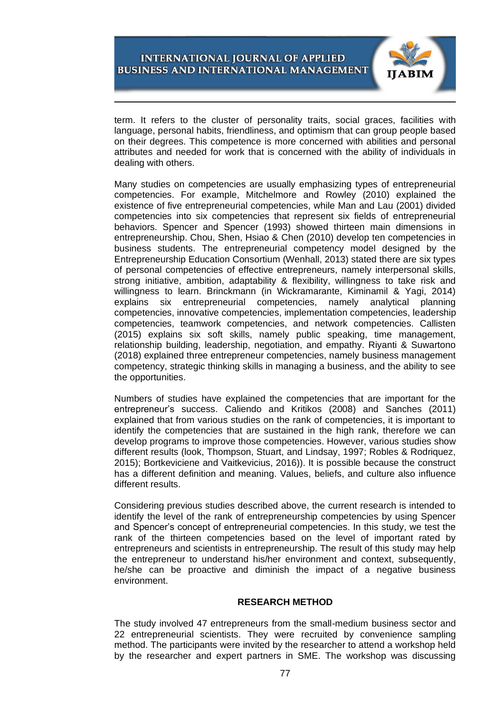

term. It refers to the cluster of personality traits, social graces, facilities with language, personal habits, friendliness, and optimism that can group people based on their degrees. This competence is more concerned with abilities and personal attributes and needed for work that is concerned with the ability of individuals in dealing with others.

Many studies on competencies are usually emphasizing types of entrepreneurial competencies. For example, Mitchelmore and Rowley (2010) explained the existence of five entrepreneurial competencies, while Man and Lau (2001) divided competencies into six competencies that represent six fields of entrepreneurial behaviors. Spencer and Spencer (1993) showed thirteen main dimensions in entrepreneurship. Chou, Shen, Hsiao & Chen (2010) develop ten competencies in business students. The entrepreneurial competency model designed by the Entrepreneurship Education Consortium (Wenhall, 2013) stated there are six types of personal competencies of effective entrepreneurs, namely interpersonal skills, strong initiative, ambition, adaptability & flexibility, willingness to take risk and willingness to learn. Brinckmann (in Wickramarante, Kiminamil & Yagi, 2014) explains six entrepreneurial competencies, namely analytical planning competencies, innovative competencies, implementation competencies, leadership competencies, teamwork competencies, and network competencies. Callisten (2015) explains six soft skills, namely public speaking, time management, relationship building, leadership, negotiation, and empathy. Riyanti & Suwartono (2018) explained three entrepreneur competencies, namely business management competency, strategic thinking skills in managing a business, and the ability to see the opportunities.

Numbers of studies have explained the competencies that are important for the entrepreneur's success. Caliendo and Kritikos (2008) and Sanches (2011) explained that from various studies on the rank of competencies, it is important to identify the competencies that are sustained in the high rank, therefore we can develop programs to improve those competencies. However, various studies show different results (look, Thompson, Stuart, and Lindsay, 1997; Robles & Rodriquez, 2015); Bortkeviciene and Vaitkevicius, 2016)). It is possible because the construct has a different definition and meaning. Values, beliefs, and culture also influence different results.

Considering previous studies described above, the current research is intended to identify the level of the rank of entrepreneurship competencies by using Spencer and Spencer's concept of entrepreneurial competencies. In this study, we test the rank of the thirteen competencies based on the level of important rated by entrepreneurs and scientists in entrepreneurship. The result of this study may help the entrepreneur to understand his/her environment and context, subsequently, he/she can be proactive and diminish the impact of a negative business environment.

#### **RESEARCH METHOD**

The study involved 47 entrepreneurs from the small-medium business sector and 22 entrepreneurial scientists. They were recruited by convenience sampling method. The participants were invited by the researcher to attend a workshop held by the researcher and expert partners in SME. The workshop was discussing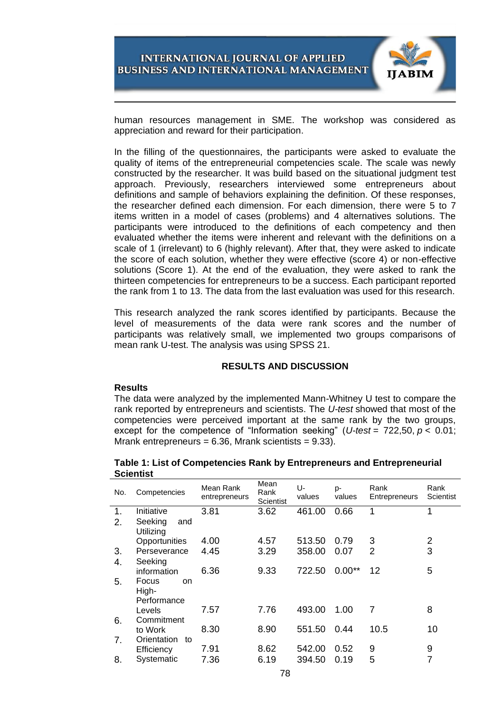

human resources management in SME. The workshop was considered as appreciation and reward for their participation.

In the filling of the questionnaires, the participants were asked to evaluate the quality of items of the entrepreneurial competencies scale. The scale was newly constructed by the researcher. It was build based on the situational judgment test approach. Previously, researchers interviewed some entrepreneurs about definitions and sample of behaviors explaining the definition. Of these responses, the researcher defined each dimension. For each dimension, there were 5 to 7 items written in a model of cases (problems) and 4 alternatives solutions. The participants were introduced to the definitions of each competency and then evaluated whether the items were inherent and relevant with the definitions on a scale of 1 (irrelevant) to 6 (highly relevant). After that, they were asked to indicate the score of each solution, whether they were effective (score 4) or non-effective solutions (Score 1). At the end of the evaluation, they were asked to rank the thirteen competencies for entrepreneurs to be a success. Each participant reported the rank from 1 to 13. The data from the last evaluation was used for this research.

This research analyzed the rank scores identified by participants. Because the level of measurements of the data were rank scores and the number of participants was relatively small, we implemented two groups comparisons of mean rank U-test. The analysis was using SPSS 21.

## **RESULTS AND DISCUSSION**

## **Results**

The data were analyzed by the implemented Mann-Whitney U test to compare the rank reported by entrepreneurs and scientists. The *U-test* showed that most of the competencies were perceived important at the same rank by the two groups, except for the competence of "Information seeking" (*U-test* = 722,50, *p* < 0.01; Mrank entrepreneurs =  $6.36$ , Mrank scientists =  $9.33$ ).

| No.                      | Competencies                | Mean Rank<br>entrepreneurs | Mean<br>Rank<br>Scientist | U-<br>values | p-<br>values | Rank<br>Entrepreneurs | Rank<br><b>Scientist</b> |  |  |  |
|--------------------------|-----------------------------|----------------------------|---------------------------|--------------|--------------|-----------------------|--------------------------|--|--|--|
| 1.                       | Initiative                  | 3.81                       | 3.62                      | 461.00       | 0.66         | 1                     | 1                        |  |  |  |
| 2.                       | Seeking<br>and<br>Utilizing |                            |                           |              |              |                       |                          |  |  |  |
|                          | Opportunities               | 4.00                       | 4.57                      | 513.50       | 0.79         | 3                     | $\overline{2}$           |  |  |  |
| 3.                       | Perseverance                | 4.45                       | 3.29                      | 358.00       | 0.07         | $\overline{2}$        | 3                        |  |  |  |
| 4.                       | Seeking                     |                            |                           |              |              |                       |                          |  |  |  |
|                          | information                 | 6.36                       | 9.33                      | 722.50       | $0.00**$     | 12                    | 5                        |  |  |  |
| 5.                       | Focus<br>on<br>High-        |                            |                           |              |              |                       |                          |  |  |  |
|                          | Performance                 |                            |                           |              |              |                       |                          |  |  |  |
|                          | Levels                      | 7.57                       | 7.76                      | 493.00       | 1.00         | 7                     | 8                        |  |  |  |
| 6.                       | Commitment                  |                            |                           |              |              |                       |                          |  |  |  |
|                          | to Work                     | 8.30                       | 8.90                      | 551.50       | 0.44         | 10.5                  | 10                       |  |  |  |
| 7.                       | Orientation<br>to           |                            |                           |              |              |                       |                          |  |  |  |
|                          | Efficiency                  | 7.91                       | 8.62                      | 542.00       | 0.52         | 9                     | 9                        |  |  |  |
| 8.                       | Systematic                  | 7.36                       | 6.19                      | 394.50       | 0.19         | 5                     | 7                        |  |  |  |
| $\overline{\phantom{a}}$ |                             |                            |                           |              |              |                       |                          |  |  |  |

**Table 1: List of Competencies Rank by Entrepreneurs and Entrepreneurial Scientist**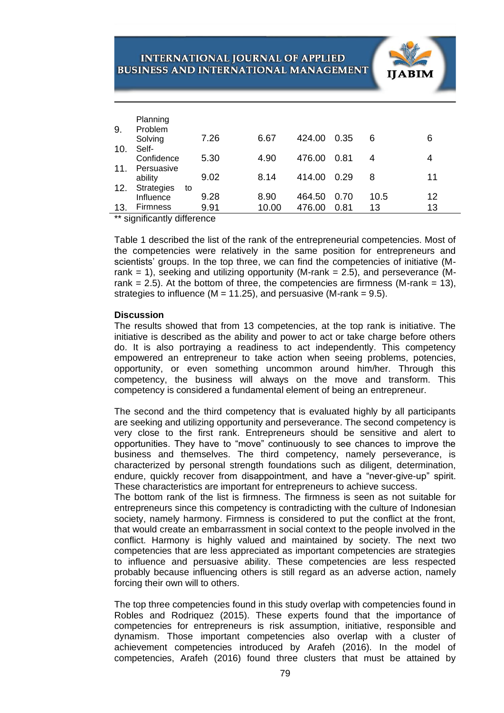|     | Planning                       |    |      |       |        |      |    |      |    |  |
|-----|--------------------------------|----|------|-------|--------|------|----|------|----|--|
| 9.  | Problem                        |    |      |       |        |      |    |      |    |  |
| 10. | Solving<br>Self-               |    | 7.26 | 6.67  | 424.00 | 0.35 | 6  |      | 6  |  |
| 11. | Confidence<br>Persuasive       |    | 5.30 | 4.90  | 476.00 | 0.81 | 4  |      | 4  |  |
|     | ability                        |    | 9.02 | 8.14  | 414.00 | 0.29 | 8  |      | 11 |  |
| 12. | <b>Strategies</b><br>Influence | to | 9.28 | 8.90  | 464.50 | 0.70 |    | 10.5 | 12 |  |
| 13. | <b>Firmness</b>                |    | 9.91 | 10.00 | 476.00 | 0.81 | 13 |      | 13 |  |

\*\* significantly difference

Table 1 described the list of the rank of the entrepreneurial competencies. Most of the competencies were relatively in the same position for entrepreneurs and scientists' groups. In the top three, we can find the competencies of initiative (Mrank = 1), seeking and utilizing opportunity (M-rank = 2.5), and perseverance (Mrank  $= 2.5$ ). At the bottom of three, the competencies are firmness (M-rank  $= 13$ ), strategies to influence ( $M = 11.25$ ), and persuasive (M-rank = 9.5).

## **Discussion**

The results showed that from 13 competencies, at the top rank is initiative. The initiative is described as the ability and power to act or take charge before others do. It is also portraying a readiness to act independently. This competency empowered an entrepreneur to take action when seeing problems, potencies, opportunity, or even something uncommon around him/her. Through this competency, the business will always on the move and transform. This competency is considered a fundamental element of being an entrepreneur.

The second and the third competency that is evaluated highly by all participants are seeking and utilizing opportunity and perseverance. The second competency is very close to the first rank. Entrepreneurs should be sensitive and alert to opportunities. They have to "move" continuously to see chances to improve the business and themselves. The third competency, namely perseverance, is characterized by personal strength foundations such as diligent, determination, endure, quickly recover from disappointment, and have a "never-give-up" spirit. These characteristics are important for entrepreneurs to achieve success.

The bottom rank of the list is firmness. The firmness is seen as not suitable for entrepreneurs since this competency is contradicting with the culture of Indonesian society, namely harmony. Firmness is considered to put the conflict at the front, that would create an embarrassment in social context to the people involved in the conflict. Harmony is highly valued and maintained by society. The next two competencies that are less appreciated as important competencies are strategies to influence and persuasive ability. These competencies are less respected probably because influencing others is still regard as an adverse action, namely forcing their own will to others.

The top three competencies found in this study overlap with competencies found in Robles and Rodriquez (2015). These experts found that the importance of competencies for entrepreneurs is risk assumption, initiative, responsible and dynamism. Those important competencies also overlap with a cluster of achievement competencies introduced by Arafeh (2016). In the model of competencies, Arafeh (2016) found three clusters that must be attained by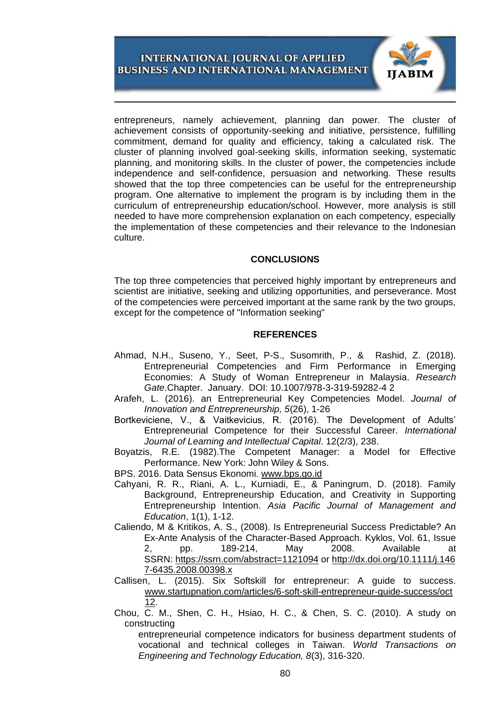

entrepreneurs, namely achievement, planning dan power. The cluster of achievement consists of opportunity-seeking and initiative, persistence, fulfilling commitment, demand for quality and efficiency, taking a calculated risk. The cluster of planning involved goal-seeking skills, information seeking, systematic planning, and monitoring skills. In the cluster of power, the competencies include independence and self-confidence, persuasion and networking. These results showed that the top three competencies can be useful for the entrepreneurship program. One alternative to implement the program is by including them in the curriculum of entrepreneurship education/school. However, more analysis is still needed to have more comprehension explanation on each competency, especially the implementation of these competencies and their relevance to the Indonesian culture.

## **CONCLUSIONS**

The top three competencies that perceived highly important by entrepreneurs and scientist are initiative, seeking and utilizing opportunities, and perseverance. Most of the competencies were perceived important at the same rank by the two groups, except for the competence of "Information seeking"

## **REFERENCES**

- Ahmad, N.H., Suseno, Y., Seet, P-S., Susomrith, P., & Rashid, Z. (2018). Entrepreneurial Competencies and Firm Performance in Emerging Economies: A Study of Woman Entrepreneur in Malaysia. *Research Gate*.Chapter. January. DOI: 10.1007/978-3-319-59282-4 2
- Arafeh, L. (2016). an Entrepreneurial Key Competencies Model. *Journal of Innovation and Entrepreneurship, 5*(26), 1-26
- Bortkeviciene, V., & Vaitkevicius, R. (2016). The Development of Adults' Entrepreneurial Competence for their Successful Career. *International Journal of Learning and Intellectual Capital*. 12(2/3), 238.
- Boyatzis, R.E. (1982).The Competent Manager: a Model for Effective Performance. New York: John Wiley & Sons.

BPS. 2016. Data Sensus Ekonomi. [www.bps.go.id](http://www.bps.go.id/)

- Cahyani, R. R., Riani, A. L., Kurniadi, E., & Paningrum, D. (2018). Family Background, Entrepreneurship Education, and Creativity in Supporting Entrepreneurship Intention. *Asia Pacific Journal of Management and Education*, 1(1), 1-12.
- Caliendo, M & Kritikos, A. S., (2008). Is Entrepreneurial Success Predictable? An Ex-Ante Analysis of the Character-Based Approach. Kyklos, Vol. 61, Issue 2, pp. 189-214, May 2008. Available at SSRN: <https://ssrn.com/abstract=1121094> or [http://dx.doi.org/10.1111/j.146](https://dx.doi.org/10.1111/j.1467-6435.2008.00398.x) [7-6435.2008.00398.x](https://dx.doi.org/10.1111/j.1467-6435.2008.00398.x)
- Callisen, L. (2015). Six Softskill for entrepreneur: A guide to success. [www.startupnation.com/articles/6-soft-skill-entrepreneur-guide-success/oct](http://www.startupnation.com/articles/6-soft-skill-entrepreneur-guide-success/oct%2012)  [12.](http://www.startupnation.com/articles/6-soft-skill-entrepreneur-guide-success/oct%2012)
- Chou, C. M., Shen, C. H., Hsiao, H. C., & Chen, S. C. (2010). A study on constructing

entrepreneurial competence indicators for business department students of vocational and technical colleges in Taiwan. *World Transactions on Engineering and Technology Education, 8*(3), 316-320.